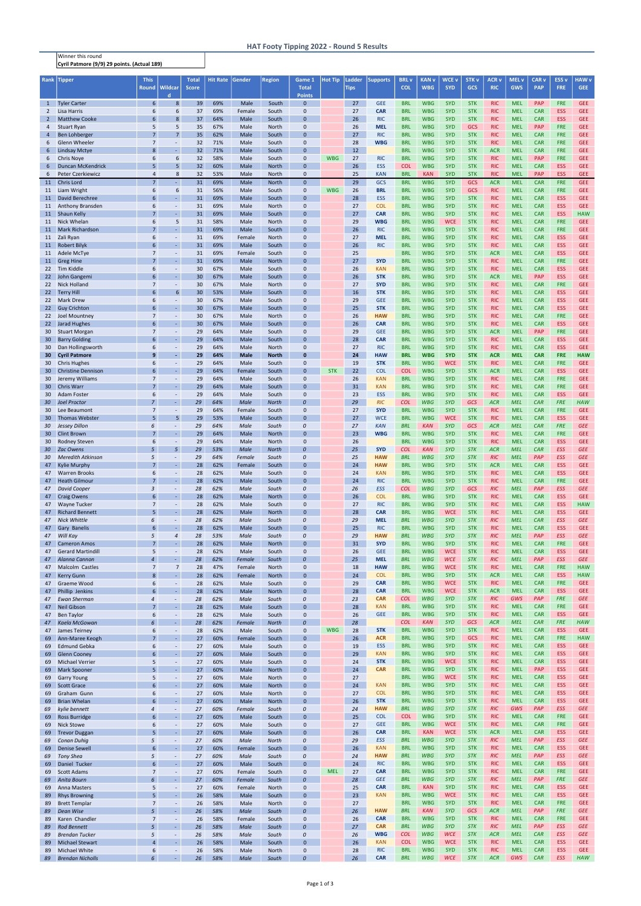Winner this round Cyril Patmore (9/9) 29 points. (Actual 189)

| Rank                  | <b>Tipper</b>                                        | <b>This</b><br><b>Round</b>      | Wildcar                                      | Total<br><b>Score</b> | <b>Hit Rate</b> | Gender              | Region                       | Game 1<br><b>Total</b>          | <b>Hot Tip</b> | Ladder<br><b>Tips</b> | <b>Supports</b>          | <b>BRL</b> v<br><b>COL</b> | <b>KAN</b> <sub>V</sub><br><b>WBG</b> | <b>WCE v</b><br><b>SYD</b> | <b>STK v</b><br><b>GCS</b> | <b>ACR v</b><br><b>RIC</b> | MEL <sub>v</sub><br><b>GWS</b> | CAR <sub>v</sub><br><b>PAP</b> | <b>ESS v</b><br><b>FRE</b> | <b>HAW v</b><br><b>GEE</b> |
|-----------------------|------------------------------------------------------|----------------------------------|----------------------------------------------|-----------------------|-----------------|---------------------|------------------------------|---------------------------------|----------------|-----------------------|--------------------------|----------------------------|---------------------------------------|----------------------------|----------------------------|----------------------------|--------------------------------|--------------------------------|----------------------------|----------------------------|
| $\mathbf{1}$          | <b>Tyler Carter</b>                                  | 6                                | $\mathbf d$<br>8                             | 39                    | 69%             | Male                | South                        | <b>Points</b><br>$\mathbf{0}$   |                | 27                    | <b>GEE</b>               | <b>BRL</b>                 | <b>WBG</b>                            | <b>SYD</b>                 | <b>STK</b>                 | <b>RIC</b>                 | <b>MEL</b>                     | PAP                            | <b>FRE</b>                 | <b>GEE</b>                 |
| $\overline{2}$        | Lisa Harris                                          | 6                                | 6                                            | 37                    | 69%             | Female              | South                        | $\mathbf 0$                     |                | 27                    | <b>CAR</b>               | <b>BRL</b>                 | <b>WBG</b>                            | <b>SYD</b>                 | <b>STK</b>                 | <b>RIC</b>                 | <b>MEL</b>                     | <b>CAR</b>                     | <b>ESS</b>                 | <b>GEE</b>                 |
| $\overline{2}$        | <b>Matthew Cooke</b>                                 | 6                                | 8                                            | 37                    | 64%             | Male                | South                        | $\Omega$                        |                | 26                    | <b>RIC</b>               | <b>BRL</b>                 | <b>WBG</b>                            | <b>SYD</b>                 | <b>STK</b>                 | <b>RIC</b>                 | <b>MEL</b>                     | <b>CAR</b>                     | <b>ESS</b>                 | <b>GEE</b>                 |
| 4                     | <b>Stuart Ryan</b>                                   | 5<br>$\overline{7}$              | 5                                            | 35                    | 67%             | Male                | North                        | $\mathbf{0}$<br>$\Omega$        |                | 26                    | <b>MEL</b>               | <b>BRL</b><br><b>BRL</b>   | <b>WBG</b><br><b>WBG</b>              | <b>SYD</b><br><b>SYD</b>   | <b>GCS</b><br><b>STK</b>   | <b>RIC</b><br><b>RIC</b>   | <b>MEL</b>                     | <b>PAP</b><br><b>CAR</b>       | <b>FRE</b><br><b>FRE</b>   | <b>GEE</b>                 |
| 4<br>6                | <b>Ben Lohberger</b><br><b>Glenn Wheeler</b>         | $\overline{7}$                   | $\overline{7}$<br>$\blacksquare$             | 35<br>32              | 62%<br>71%      | Male<br>Male        | South<br>South               | $\mathbf{0}$                    |                | 27<br>28              | <b>RIC</b><br><b>WBG</b> | <b>BRL</b>                 | <b>WBG</b>                            | <b>SYD</b>                 | <b>STK</b>                 | <b>RIC</b>                 | <b>MEL</b><br><b>MEL</b>       | <b>CAR</b>                     | <b>FRE</b>                 | <b>GEE</b><br><b>GEE</b>   |
| 6                     | <b>Lindsay Mctye</b>                                 | 8                                | $\omega$                                     | 32                    | 71%             | Male                | South                        | $\Omega$                        |                | 12                    |                          | <b>BRL</b>                 | <b>WBG</b>                            | <b>SYD</b>                 | <b>STK</b>                 | <b>ACR</b>                 | <b>MEL</b>                     | <b>CAR</b>                     | <b>FRE</b>                 | <b>GEE</b>                 |
| 6                     | <b>Chris Nove</b>                                    | 6                                | 6                                            | 32                    | 58%             | Male                | South                        | $\mathbf 0$                     | <b>WBG</b>     | 27                    | <b>RIC</b>               | <b>BRL</b>                 | <b>WBG</b>                            | <b>SYD</b>                 | <b>STK</b>                 | <b>RIC</b>                 | <b>MEL</b>                     | <b>PAP</b>                     | <b>FRE</b>                 | <b>GEE</b>                 |
| 6<br>6                | <b>Duncan McKendrick</b><br><b>Peter Czerkiewicz</b> | 5<br>$\overline{4}$              | 5<br>8                                       | 32<br>32              | 60%<br>53%      | Male<br>Male        | <b>North</b><br><b>North</b> | $\Omega$<br>$\mathbf{0}$        |                | 26<br>25              | <b>ESS</b><br><b>KAN</b> | <b>COL</b><br><b>BRL</b>   | <b>WBG</b><br><b>KAN</b>              | <b>SYD</b><br><b>SYD</b>   | <b>STK</b><br><b>STK</b>   | <b>RIC</b><br><b>RIC</b>   | <b>MEL</b><br><b>MEL</b>       | <b>CAR</b><br><b>PAP</b>       | <b>ESS</b><br><b>ESS</b>   | <b>GEE</b><br><b>GEE</b>   |
| 11                    | <b>Chris Lord</b>                                    | $\overline{7}$                   | $\sim$                                       | 31                    | 69%             | Male                | <b>North</b>                 | $\mathbf{0}$                    |                | 29                    | GCS                      | <b>BRL</b>                 | <b>WBG</b>                            | <b>SYD</b>                 | <b>GCS</b>                 | <b>ACR</b>                 | <b>MEL</b>                     | <b>CAR</b>                     | FRE                        | <b>GEE</b>                 |
| 11                    | Liam Wright                                          | 6                                | 6                                            | 31                    | 56%             | Male                | South                        | $\mathbf 0$                     | <b>WBG</b>     | 26                    | <b>BRL</b>               | <b>BRL</b>                 | <b>WBG</b>                            | <b>SYD</b>                 | <b>GCS</b>                 | <b>RIC</b>                 | <b>MEL</b>                     | <b>CAR</b>                     | <b>FRE</b>                 | <b>GEE</b>                 |
| 11                    | David Berechree                                      | 6                                | ä,                                           | 31                    | 69%             | Male                | South                        | $\mathbf{0}$                    |                | 28                    | <b>ESS</b>               | <b>BRL</b>                 | <b>WBG</b>                            | <b>SYD</b>                 | <b>STK</b>                 | <b>RIC</b>                 | <b>MEL</b>                     | <b>CAR</b>                     | <b>ESS</b>                 | <b>GEE</b>                 |
| 11<br>11              | Anthony Bransden<br><b>Shaun Kelly</b>               | 6<br>$\overline{7}$              | $\omega$<br>L,                               | 31<br>31              | 69%<br>69%      | Male<br>Male        | North<br>South               | $\mathbf 0$<br>$\Omega$         |                | 27<br>27              | <b>COL</b><br><b>CAR</b> | <b>BRL</b><br><b>BRL</b>   | <b>WBG</b><br><b>WBG</b>              | <b>SYD</b><br><b>SYD</b>   | <b>STK</b><br><b>STK</b>   | <b>RIC</b><br><b>RIC</b>   | <b>MEL</b><br><b>MEL</b>       | <b>CAR</b><br><b>CAR</b>       | <b>ESS</b><br>ESS          | <b>GEE</b><br><b>HAW</b>   |
| 11                    | Nick Whelan                                          | 6                                | 5                                            | 31                    | 58%             | Male                | North                        | $\Omega$                        |                | 29                    | <b>WBG</b>               | <b>BRL</b>                 | <b>WBG</b>                            | <b>WCE</b>                 | <b>STK</b>                 | <b>RIC</b>                 | <b>MEL</b>                     | <b>CAR</b>                     | <b>FRE</b>                 | <b>GEE</b>                 |
| 11                    | <b>Mark Richardson</b>                               | $\overline{7}$                   | ä,                                           | 31                    | 69%             | Male                | South                        | $\Omega$                        |                | 26                    | <b>RIC</b>               | <b>BRL</b>                 | <b>WBG</b>                            | <b>SYD</b>                 | <b>STK</b>                 | <b>RIC</b>                 | <b>MEL</b>                     | <b>CAR</b>                     | <b>FRE</b>                 | <b>GEE</b>                 |
| 11                    | Zali Ryan                                            | 6                                | $\overline{\phantom{a}}$                     | 31                    | 69%             | Female              | North                        | $\Omega$                        |                | 27                    | <b>MEL</b>               | <b>BRL</b>                 | <b>WBG</b>                            | <b>SYD</b>                 | <b>STK</b>                 | <b>RIC</b>                 | <b>MEL</b>                     | <b>CAR</b>                     | <b>ESS</b>                 | <b>GEE</b>                 |
| 11<br>11              | <b>Robert Bilyk</b><br>Adele McTye                   | 6<br>7                           | L,<br>$\overline{\phantom{a}}$               | 31<br>31              | 69%<br>69%      | Male<br>Female      | South<br>South               | $\Omega$<br>$\mathbf{0}$        |                | 26<br>25              | <b>RIC</b>               | <b>BRL</b><br><b>BRL</b>   | <b>WBG</b><br><b>WBG</b>              | <b>SYD</b><br><b>SYD</b>   | <b>STK</b><br><b>STK</b>   | <b>RIC</b><br><b>ACR</b>   | <b>MEL</b><br><b>MEL</b>       | <b>CAR</b><br><b>CAR</b>       | <b>ESS</b><br><b>ESS</b>   | <b>GEE</b><br><b>GEE</b>   |
| 11                    | <b>Greg Hine</b>                                     | $\overline{7}$                   | $\omega$                                     | 31                    | 69%             | Male                | <b>North</b>                 | $\Omega$                        |                | 27                    | <b>SYD</b>               | <b>BRL</b>                 | <b>WBG</b>                            | <b>SYD</b>                 | <b>STK</b>                 | <b>RIC</b>                 | <b>MEL</b>                     | <b>CAR</b>                     | <b>FRE</b>                 | <b>GEE</b>                 |
| 22                    | <b>Tim Kiddle</b>                                    | 6                                | $\blacksquare$                               | 30                    | 67%             | Male                | South                        | $\mathbf 0$                     |                | 26                    | <b>KAN</b>               | <b>BRL</b>                 | <b>WBG</b>                            | <b>SYD</b>                 | <b>STK</b>                 | <b>RIC</b>                 | <b>MEL</b>                     | <b>CAR</b>                     | <b>ESS</b>                 | <b>GEE</b>                 |
| 22                    | John Gangemi<br><b>Nick Holland</b>                  | 6<br>$\overline{7}$              | $\omega$<br>$\blacksquare$                   | 30                    | 67%<br>67%      | Male                | South                        | $\Omega$<br>$\mathbf{0}$        |                | 26<br>27              | <b>STK</b>               | <b>BRL</b>                 | <b>WBG</b><br><b>WBG</b>              | <b>SYD</b><br><b>SYD</b>   | <b>STK</b><br><b>STK</b>   | <b>ACR</b>                 | <b>MEL</b>                     | PAP<br><b>CAR</b>              | <b>ESS</b><br><b>FRE</b>   | <b>GEE</b><br><b>GEE</b>   |
| 22<br>22              | <b>Terry Hill</b>                                    | 6                                | 6                                            | 30<br>30              | 53%             | Male<br>Male        | North<br>South               | $\Omega$                        |                | 16                    | <b>SYD</b><br><b>STK</b> | <b>BRL</b><br><b>BRL</b>   | <b>WBG</b>                            | <b>SYD</b>                 | <b>STK</b>                 | <b>RIC</b><br><b>RIC</b>   | <b>MEL</b><br><b>MEL</b>       | <b>CAR</b>                     | <b>ESS</b>                 | <b>GEE</b>                 |
| 22                    | <b>Mark Drew</b>                                     | 6                                | $\omega$                                     | 30                    | 67%             | Male                | South                        | 0                               |                | 29                    | <b>GEE</b>               | <b>BRL</b>                 | <b>WBG</b>                            | <b>SYD</b>                 | <b>STK</b>                 | <b>RIC</b>                 | <b>MEL</b>                     | <b>CAR</b>                     | ESS                        | <b>GEE</b>                 |
| 22 <sub>2</sub>       | <b>Guy Crichton</b>                                  | 6                                | $\omega$                                     | 30                    | 67%             | Male                | South                        | $\Omega$                        |                | 25                    | <b>STK</b>               | <b>BRL</b>                 | <b>WBG</b>                            | <b>SYD</b>                 | <b>STK</b>                 | <b>RIC</b>                 | <b>MEL</b>                     | <b>CAR</b>                     | <b>ESS</b>                 | <b>GEE</b>                 |
| 22<br>22              | Joel Mountney<br>Jarad Hughes                        | 7<br>6                           | $\overline{\phantom{a}}$<br>$\omega$         | 30<br>30              | 67%<br>67%      | Male<br>Male        | North<br>South               | $\mathbf{0}$<br>$\Omega$        |                | 26<br>26              | <b>HAW</b><br><b>CAR</b> | <b>BRL</b><br><b>BRL</b>   | <b>WBG</b><br><b>WBG</b>              | <b>SYD</b><br><b>SYD</b>   | <b>STK</b><br><b>STK</b>   | <b>RIC</b><br><b>RIC</b>   | <b>MEL</b><br><b>MEL</b>       | <b>CAR</b><br><b>CAR</b>       | <b>FRE</b><br><b>ESS</b>   | <b>GEE</b><br><b>GEE</b>   |
| 30                    | <b>Stuart Morgan</b>                                 | $\overline{7}$                   | $\omega$                                     | 29                    | 64%             | Male                | South                        | $\Omega$                        |                | 29                    | <b>GEE</b>               | <b>BRL</b>                 | <b>WBG</b>                            | <b>SYD</b>                 | <b>STK</b>                 | <b>ACR</b>                 | <b>MEL</b>                     | PAP                            | <b>FRE</b>                 | <b>GEE</b>                 |
| 30                    | <b>Barry Golding</b>                                 | 6                                | ä,                                           | 29                    | 64%             | Male                | South                        | $\Omega$                        |                | 28                    | <b>CAR</b>               | <b>BRL</b>                 | <b>WBG</b>                            | <b>SYD</b>                 | <b>STK</b>                 | <b>RIC</b>                 | <b>MEL</b>                     | <b>CAR</b>                     | <b>ESS</b>                 | <b>GEE</b>                 |
| 30                    | Dan Hollingsworth                                    | 6                                | $\blacksquare$                               | 29                    | 64%             | Male                | North                        | $\Omega$                        |                | 27                    | <b>RIC</b>               | <b>BRL</b>                 | <b>WBG</b>                            | <b>SYD</b>                 | <b>STK</b>                 | <b>RIC</b>                 | <b>MEL</b>                     | <b>CAR</b>                     | <b>ESS</b>                 | <b>GEE</b>                 |
| 30<br>30              | <b>Cyril Patmore</b><br><b>Chris Hughes</b>          | 9<br>6                           | ä,<br>$\omega$                               | 29<br>29              | 64%<br>64%      | <b>Male</b><br>Male | <b>North</b><br>South        | 0<br>$\mathbf{0}$               |                | 24<br>19              | <b>HAW</b><br><b>STK</b> | <b>BRL</b><br><b>BRL</b>   | <b>WBG</b><br><b>WBG</b>              | <b>SYD</b><br><b>WCE</b>   | <b>STK</b><br><b>STK</b>   | <b>ACR</b><br><b>RIC</b>   | <b>MEL</b><br><b>MEL</b>       | <b>CAR</b><br><b>CAR</b>       | <b>FRE</b><br><b>FRE</b>   | <b>HAW</b><br><b>GEE</b>   |
| 30 <sup>°</sup>       | <b>Christine Dennison</b>                            | 6                                | $\omega$                                     | 29                    | 64%             | Female              | South                        | $\mathbf{0}$                    | <b>STK</b>     | 22                    | <b>COL</b>               | <b>COL</b>                 | <b>WBG</b>                            | <b>SYD</b>                 | <b>STK</b>                 | <b>ACR</b>                 | <b>MEL</b>                     | <b>CAR</b>                     | <b>ESS</b>                 | <b>GEE</b>                 |
| 30                    | Jeremy Williams                                      | 7                                | $\overline{\phantom{a}}$                     | 29                    | 64%             | Male                | South                        | $\mathbf 0$                     |                | 26                    | <b>KAN</b>               | <b>BRL</b>                 | <b>WBG</b>                            | <b>SYD</b>                 | <b>STK</b>                 | <b>RIC</b>                 | <b>MEL</b>                     | <b>CAR</b>                     | <b>FRE</b>                 | <b>GEE</b>                 |
| 30 <sup>°</sup>       | <b>Chris Warr</b>                                    | $\overline{7}$                   | $\omega$                                     | 29                    | 64%             | Male                | South                        | $\mathbf{0}$                    |                | 31                    | <b>KAN</b>               | <b>BRL</b>                 | <b>WBG</b>                            | <b>SYD</b>                 | <b>STK</b>                 | <b>RIC</b>                 | <b>MEL</b>                     | <b>CAR</b>                     | <b>FRE</b>                 | <b>GEE</b>                 |
| 30<br>30              | Adam Foster<br><b>Joel Proctor</b>                   | 6<br>$\overline{7}$              | $\overline{\phantom{a}}$<br>ä,               | 29<br>29              | 64%<br>64%      | Male<br>Male        | South<br><b>North</b>        | $\Omega$                        |                | 23<br>29              | <b>ESS</b><br><b>RIC</b> | <b>BRL</b><br><b>COL</b>   | <b>WBG</b><br><b>WBG</b>              | <b>SYD</b><br><b>SYD</b>   | <b>STK</b><br><b>GCS</b>   | <b>RIC</b><br><b>ACR</b>   | <b>MEL</b><br><b>MEL</b>       | <b>CAR</b><br><b>CAR</b>       | <b>ESS</b><br><b>FRE</b>   | <b>GEE</b><br><b>HAW</b>   |
| 30 <sup>°</sup>       | Lee Beaumont                                         | $\overline{7}$                   | $\overline{\phantom{a}}$                     | 29                    | 64%             | Female              | South                        | 0                               |                | 27                    | <b>SYD</b>               | <b>BRL</b>                 | <b>WBG</b>                            | <b>SYD</b>                 | <b>STK</b>                 | <b>RIC</b>                 | <b>MEL</b>                     | <b>CAR</b>                     | <b>FRE</b>                 | <b>GEE</b>                 |
|                       | 30 Thomas Webster                                    | 5                                |                                              | 29                    | 53%             | Male                | South                        |                                 |                | 27                    | <b>WCE</b>               | <b>BRL</b>                 | <b>WBG</b>                            | <b>WCE</b>                 | <b>STK</b>                 | <b>RIC</b>                 | <b>MEL</b>                     | <b>CAR</b>                     | ESS                        | <b>GEE</b>                 |
| 30<br>30 <sup>°</sup> | <b>Jessey Dillon</b><br><b>Clint Brown</b>           | 6<br>$\overline{7}$              | $\equiv$<br>$\blacksquare$                   | 29<br>29              | 64%<br>64%      | Male<br>Male        | South<br><b>North</b>        | $\mathcal{O}$<br>$\Omega$       |                | 27<br>23              | <b>KAN</b><br><b>WBG</b> | <b>BRL</b><br><b>BRL</b>   | <b>KAN</b><br><b>WBG</b>              | <b>SYD</b><br><b>SYD</b>   | <b>GCS</b><br><b>STK</b>   | <b>ACR</b><br><b>RIC</b>   | <b>MEL</b><br><b>MEL</b>       | <b>CAR</b><br><b>CAR</b>       | <b>FRE</b><br><b>FRE</b>   | <b>GEE</b><br><b>GEE</b>   |
| 30                    | Rodney Steven                                        | 6                                | $\omega$                                     | 29                    | 64%             | Male                | North                        | $\mathbf 0$                     |                | 26                    |                          | <b>BRL</b>                 | <b>WBG</b>                            | <b>SYD</b>                 | <b>STK</b>                 | <b>RIC</b>                 | <b>MEL</b>                     | <b>CAR</b>                     | <b>ESS</b>                 | <b>GEE</b>                 |
| 30                    | <b>Zac Owens</b>                                     | 5 <sup>5</sup>                   | 5 <sup>5</sup>                               | 29                    | 53%             | Male                | <b>North</b>                 | $\boldsymbol{0}$                |                | 25                    | <b>SYD</b>               | <b>COL</b>                 | <b>KAN</b>                            | <b>SYD</b>                 | <b>STK</b>                 | <b>ACR</b>                 | <b>MEL</b>                     | <b>CAR</b>                     | <b>ESS</b>                 | <b>GEE</b>                 |
| 30                    | <b>Meredith Atkinson</b>                             | 5                                | $\overline{\phantom{a}}$                     | 29                    | 64%             | Female              | South                        | $\Omega$                        |                | 25                    | <b>HAW</b>               | <b>BRL</b>                 | <b>WBG</b>                            | <b>SYD</b>                 | <b>STK</b>                 | <b>RIC</b>                 | <b>MEL</b>                     | PAP                            | <b>ESS</b>                 | <b>GEE</b>                 |
| 47<br>47              | <b>Kylie Murphy</b><br><b>Warren Brooks</b>          | $\overline{7}$<br>6              | $\omega$<br>$\overline{\phantom{a}}$         | 28<br>28              | 62%<br>62%      | Female<br>Male      | South<br>South               | $\Omega$<br>$\mathbf{0}$        |                | 24<br>24              | <b>HAW</b><br><b>KAN</b> | <b>BRL</b><br><b>BRL</b>   | <b>WBG</b><br><b>WBG</b>              | <b>SYD</b><br><b>SYD</b>   | <b>STK</b><br><b>STK</b>   | <b>ACR</b><br><b>RIC</b>   | <b>MEL</b><br><b>MEL</b>       | <b>CAR</b><br><b>CAR</b>       | <b>ESS</b><br>ESS          | <b>GEE</b><br><b>GEE</b>   |
| 47                    | <b>Heath Gilmour</b>                                 | $\overline{7}$                   | ä,                                           | 28                    | 62%             | Male                | South                        | $\Omega$                        |                | 24                    | <b>RIC</b>               | <b>BRL</b>                 | <b>WBG</b>                            | <b>SYD</b>                 | <b>STK</b>                 | <b>RIC</b>                 | <b>MEL</b>                     | <b>CAR</b>                     | <b>FRE</b>                 | <b>GEE</b>                 |
| 47                    | <b>David Cooper</b>                                  | $\mathbf{3}$                     | $\overline{\phantom{a}}$                     | 28                    | 62%             | Male                | South                        | $\Omega$                        |                | 26                    | <b>ESS</b>               | <b>COL</b>                 | <b>WBG</b>                            | <b>SYD</b>                 | GCS                        | <b>RIC</b>                 | <b>MEL</b>                     | PAP                            | <b>ESS</b>                 | <b>GEE</b>                 |
| 47                    | <b>Craig Owens</b>                                   | 6                                | $\omega$                                     | 28                    | 62%             | Male                | <b>North</b>                 | $\Omega$                        |                | 26                    | <b>COL</b>               | <b>BRL</b>                 | <b>WBG</b>                            | <b>SYD</b>                 | <b>STK</b>                 | <b>RIC</b>                 | <b>MEL</b>                     | <b>CAR</b>                     | ESS                        | <b>GEE</b>                 |
| 47<br>47              | <b>Wayne Tucker</b><br><b>Richard Bennett</b>        | $\overline{7}$<br>5              | $\overline{\phantom{a}}$<br>¥,               | 28<br>28              | 62%<br>62%      | Male<br>Male        | South<br><b>North</b>        | $\mathbf 0$<br>$\Omega$         |                | 27<br>28              | <b>RIC</b><br><b>CAR</b> | <b>BRL</b><br><b>BRL</b>   | <b>WBG</b><br><b>WBG</b>              | <b>SYD</b><br><b>WCE</b>   | <b>STK</b><br><b>STK</b>   | <b>RIC</b><br><b>RIC</b>   | <b>MEL</b><br><b>MEL</b>       | <b>CAR</b><br><b>CAR</b>       | <b>ESS</b><br><b>ESS</b>   | <b>HAW</b><br><b>GEE</b>   |
| 47                    | <b>Nick Whittle</b>                                  | 6                                | $\overline{\phantom{a}}$                     | 28                    | 62%             | Male                | South                        | $\Omega$                        |                | 29                    | <b>MEL</b>               | <b>BRL</b>                 | <b>WBG</b>                            | <b>SYD</b>                 | <b>STK</b>                 | <b>RIC</b>                 | <b>MEL</b>                     | <b>CAR</b>                     | <b>ESS</b>                 | <b>GEE</b>                 |
| 47                    | Gary Banelis                                         | 6                                | ÷,                                           | 28                    | 62%             | Male                | South                        | $\mathbf{0}$                    |                | 25                    | <b>RIC</b>               | <b>BRL</b>                 | <b>WBG</b>                            | <b>SYD</b>                 | <b>STK</b>                 | <b>RIC</b>                 | <b>MEL</b>                     | <b>CAR</b>                     | <b>ESS</b>                 | <b>GEE</b>                 |
| 47                    | Will Kay                                             | 5<br>$\overline{7}$              | $\overline{4}$<br>$\Box$                     | 28                    | 53%<br>62%      | Male                | South                        | $\mathcal{O}$<br>$\Omega$       |                | 29<br>31              | <b>HAW</b>               | <b>BRL</b><br><b>BRL</b>   | <b>WBG</b><br><b>WBG</b>              | <b>SYD</b><br><b>SYD</b>   | <b>STK</b>                 | <b>RIC</b>                 | <b>MEL</b>                     | PAP                            | <b>ESS</b>                 | <b>GEE</b>                 |
| 47<br>47              | <b>Cameron Amos</b><br><b>Gerard Martindill</b>      | 5                                | $\omega$                                     | 28<br>28              | 62%             | Male<br>Male        | <b>North</b><br>South        | $\mathbf 0$                     |                | 26                    | <b>SYD</b><br><b>GEE</b> | <b>BRL</b>                 | <b>WBG</b>                            | <b>WCE</b>                 | <b>STK</b><br><b>STK</b>   | <b>RIC</b><br><b>RIC</b>   | <b>MEL</b><br><b>MEL</b>       | <b>CAR</b><br><b>CAR</b>       | <b>FRE</b><br><b>ESS</b>   | <b>GEE</b><br><b>GEE</b>   |
| 47                    | Alanna Cannon                                        | $\overline{4}$                   | ä,                                           | 28                    | 62%             | Female              | South                        | $\Omega$                        |                | 25                    | <b>MEL</b>               | <b>BRL</b>                 | <b>WBG</b>                            | <b>WCE</b>                 | <b>STK</b>                 | <b>RIC</b>                 | <b>MEL</b>                     | PAP                            | <b>ESS</b>                 | <b>GEE</b>                 |
| 47                    | Malcolm Castles                                      | $\overline{7}$                   | $\overline{7}$                               | 28                    | 47%             | Female              | North                        | $\mathbf 0$                     |                | 18                    | <b>HAW</b>               | <b>BRL</b>                 | <b>WBG</b>                            | <b>WCE</b>                 | <b>STK</b>                 | <b>RIC</b>                 | <b>MEL</b>                     | <b>CAR</b>                     | <b>FRE</b>                 | <b>HAW</b>                 |
| 47<br>47              | <b>Kerry Gunn</b><br>Graeme Wood                     | 8<br>6                           | $\omega$<br>$\blacksquare$                   | 28<br>28              | 62%<br>62%      | Female<br>Male      | <b>North</b><br>South        | $\Omega$<br>$\mathbf 0$         |                | 24<br>29              | <b>COL</b><br><b>CAR</b> | <b>BRL</b><br><b>BRL</b>   | <b>WBG</b><br><b>WBG</b>              | <b>SYD</b><br><b>WCE</b>   | <b>STK</b><br><b>STK</b>   | <b>ACR</b><br><b>RIC</b>   | <b>MEL</b><br><b>MEL</b>       | <b>CAR</b><br><b>CAR</b>       | <b>ESS</b><br><b>FRE</b>   | <b>HAW</b><br><b>GEE</b>   |
| 47                    | Phillip Jenkins                                      | 6                                | ä,                                           | 28                    | 62%             | Male                | <b>North</b>                 | $\Omega$                        |                | 28                    | <b>CAR</b>               | <b>BRL</b>                 | <b>WBG</b>                            | <b>WCE</b>                 | <b>STK</b>                 | <b>ACR</b>                 | <b>MEL</b>                     | <b>CAR</b>                     | <b>ESS</b>                 | <b>GEE</b>                 |
| 47                    | <b>Ewan Sherman</b>                                  | $\overline{4}$                   | $\overline{\phantom{a}}$                     | 28                    | 62%             | Male                | South                        | $\Omega$                        |                | 23                    | <b>CAR</b>               | <b>COL</b>                 | <b>WBG</b>                            | <b>SYD</b>                 | <b>STK</b>                 | <b>RIC</b>                 | GWS                            | PAP                            | <b>FRE</b>                 | <b>GEE</b>                 |
| 47                    | <b>Neil Gibson</b>                                   | $\overline{7}$                   | $\omega$                                     | 28                    | 62%             | Male                | South                        | $\Omega$                        |                | 28                    | <b>KAN</b>               | <b>BRL</b>                 | <b>WBG</b>                            | <b>SYD</b>                 | <b>STK</b>                 | <b>RIC</b>                 | <b>MEL</b>                     | <b>CAR</b>                     | <b>FRE</b>                 | <b>GEE</b>                 |
| 47<br>47              | <b>Ben Taylor</b><br>Kaela McGowan                   | 6<br>6                           | $\blacksquare$<br>ä,                         | 28<br>28              | 62%<br>62%      | Male<br>Female      | South<br><b>North</b>        | $\mathbf 0$                     |                | 26<br>28              | <b>GEE</b>               | <b>BRL</b><br><b>COL</b>   | <b>WBG</b><br><b>KAN</b>              | <b>SYD</b><br><b>SYD</b>   | <b>STK</b><br>GCS          | <b>RIC</b><br><b>ACR</b>   | <b>MEL</b><br><b>MEL</b>       | <b>CAR</b><br><b>CAR</b>       | <b>ESS</b><br><b>FRE</b>   | <b>GEE</b><br><b>HAW</b>   |
| 47                    | James Teirney                                        | 6                                | $\overline{\phantom{a}}$                     | 28                    | 62%             | Male                | South                        | $\mathbf{0}$                    | <b>WBG</b>     | 28                    | <b>STK</b>               | <b>BRL</b>                 | <b>WBG</b>                            | <b>SYD</b>                 | <b>STK</b>                 | <b>RIC</b>                 | <b>MEL</b>                     | <b>CAR</b>                     | <b>ESS</b>                 | <b>GEE</b>                 |
| 69                    | Ann-Maree Keogh                                      | $\overline{7}$                   | $\omega$                                     | 27                    | 60%             | Female              | South                        | $\mathbf{0}$                    |                | 26                    | <b>ACR</b>               | <b>BRL</b>                 | <b>WBG</b>                            | <b>SYD</b>                 | <b>GCS</b>                 | <b>RIC</b>                 | <b>MEL</b>                     | <b>CAR</b>                     | <b>FRE</b>                 | <b>HAW</b>                 |
| 69                    | <b>Edmund Gebka</b>                                  | 6<br>6                           | $\overline{\phantom{a}}$<br>$\omega$         | 27<br>27              | 60%<br>60%      | Male                | South<br>South               | $\mathbf 0$<br>$\Omega$         |                | 19<br>29              | <b>ESS</b><br><b>KAN</b> | <b>BRL</b><br><b>BRL</b>   | <b>WBG</b><br><b>WBG</b>              | <b>SYD</b><br><b>SYD</b>   | <b>STK</b><br><b>STK</b>   | <b>RIC</b><br><b>RIC</b>   | <b>MEL</b><br><b>MEL</b>       | <b>CAR</b><br><b>CAR</b>       | <b>ESS</b><br><b>ESS</b>   | <b>GEE</b><br><b>GEE</b>   |
| 69<br>69              | <b>Glenn Cooney</b><br><b>Michael Verrier</b>        | 5                                | $\omega$                                     | 27                    | 60%             | Male<br>Male        | South                        | $\mathbf 0$                     |                | 24                    | <b>STK</b>               | <b>BRL</b>                 | <b>WBG</b>                            | <b>WCE</b>                 | <b>STK</b>                 | <b>RIC</b>                 | <b>MEL</b>                     | <b>CAR</b>                     | <b>ESS</b>                 | <b>GEE</b>                 |
| 69                    | <b>Mark Spooner</b>                                  | 5                                | $\omega$                                     | 27                    | 60%             | Male                | <b>North</b>                 | $\overline{0}$                  |                | 24                    | <b>CAR</b>               | <b>BRL</b>                 | <b>WBG</b>                            | <b>SYD</b>                 | <b>STK</b>                 | <b>RIC</b>                 | <b>MEL</b>                     | <b>PAP</b>                     | <b>ESS</b>                 | <b>GEE</b>                 |
| 69                    | <b>Garry Young</b>                                   | 5                                | $\overline{\phantom{a}}$                     | 27                    | 60%             | Male                | North                        | $\mathbf 0$                     |                | 27                    |                          | <b>BRL</b>                 | <b>WBG</b>                            | <b>WCE</b>                 | <b>STK</b>                 | <b>RIC</b>                 | <b>MEL</b>                     | <b>CAR</b>                     | <b>ESS</b>                 | <b>GEE</b>                 |
| 69<br>69              | <b>Scott Grace</b><br>Graham Gunn                    | 6<br>6                           | $\Box$<br>$\omega$                           | 27<br>27              | 60%<br>60%      | Male<br>Male        | <b>North</b><br>North        | $\Omega$<br>$\mathbf 0$         |                | 24<br>27              | <b>KAN</b><br><b>COL</b> | <b>BRL</b><br><b>BRL</b>   | <b>WBG</b><br><b>WBG</b>              | <b>SYD</b><br><b>SYD</b>   | <b>STK</b><br><b>STK</b>   | <b>RIC</b><br><b>RIC</b>   | <b>MEL</b><br><b>MEL</b>       | <b>CAR</b><br><b>CAR</b>       | <b>ESS</b><br>ESS          | <b>GEE</b><br><b>GEE</b>   |
| 69                    | <b>Brian Whelan</b>                                  | 6                                | ä,                                           | 27                    | 60%             | Male                | <b>North</b>                 | $\mathbf{0}$                    |                | 26                    | <b>STK</b>               | <b>BRL</b>                 | <b>WBG</b>                            | <b>SYD</b>                 | <b>STK</b>                 | <b>RIC</b>                 | <b>MEL</b>                     | <b>CAR</b>                     | <b>ESS</b>                 | <b>GEE</b>                 |
| 69                    | kylie bennett                                        | $\overline{4}$                   | $\overline{\phantom{a}}$                     | 27                    | 60%             | Female              | South                        | $\mathcal{O}$                   |                | 24                    | <b>HAW</b>               | <b>BRL</b>                 | <b>WBG</b>                            | <b>SYD</b>                 | <b>STK</b>                 | <b>RIC</b>                 | GWS                            | PAP                            | <b>ESS</b>                 | <b>GEE</b>                 |
| 69                    | <b>Ross Burridge</b>                                 | 6                                | $\omega$                                     | 27                    | 60%             | Male                | South                        | $\Omega$                        |                | 25                    | <b>COL</b>               | <b>COL</b>                 | <b>WBG</b>                            | <b>SYD</b>                 | <b>STK</b>                 | <b>RIC</b>                 | <b>MEL</b>                     | <b>CAR</b>                     | <b>FRE</b>                 | <b>GEE</b>                 |
| 69<br>69              | <b>Nick Stowe</b><br><b>Trevor Duggan</b>            | 6<br>5                           | $\blacksquare$<br>ä,                         | 27<br>27              | 60%<br>60%      | Male<br>Male        | South<br>South               | $\mathbf 0$<br>$\Omega$         |                | 27<br>26              | <b>GEE</b><br><b>CAR</b> | <b>BRL</b><br><b>BRL</b>   | <b>WBG</b><br><b>KAN</b>              | <b>WCE</b><br><b>WCE</b>   | <b>STK</b><br><b>STK</b>   | <b>RIC</b><br><b>ACR</b>   | <b>MEL</b><br><b>MEL</b>       | <b>CAR</b><br><b>CAR</b>       | <b>FRE</b><br><b>ESS</b>   | <b>GEE</b><br><b>GEE</b>   |
| 69                    | <b>Conan Duhiq</b>                                   | 5                                | $\equiv$                                     | 27                    | 60%             | Male                | <b>North</b>                 | $\Omega$                        |                | 29                    | <b>ESS</b>               | <b>BRL</b>                 | <b>WBG</b>                            | <b>SYD</b>                 | <b>STK</b>                 | <b>RIC</b>                 | <b>MEL</b>                     | PAP                            | <b>ESS</b>                 | <b>GEE</b>                 |
| 69                    | <b>Denise Sewell</b>                                 | 6                                | $\omega$                                     | 27                    | 60%             | Female              | South                        | 0                               |                | 26                    | <b>KAN</b>               | <b>BRL</b>                 | <b>WBG</b>                            | <b>SYD</b>                 | <b>STK</b>                 | <b>RIC</b>                 | <b>MEL</b>                     | <b>CAR</b>                     | <b>ESS</b>                 | <b>GEE</b>                 |
| 69                    | <b>Tony Shea</b>                                     | 5                                |                                              | 27                    | 60%             | Male                | South                        |                                 |                | 24                    | <b>HAW</b>               | <b>BRL</b>                 | <b>WBG</b>                            | <b>SYD</b>                 | <b>STK</b>                 | <b>RIC</b>                 | <b>MEL</b>                     | PAP                            | <b>ESS</b>                 | <b>GEE</b>                 |
| 69<br>69              | Daniel Tucker<br><b>Scott Adams</b>                  | 6<br>$\overline{7}$              | $\sim$<br>$\overline{\phantom{a}}$           | 27<br>27              | 60%<br>60%      | Male<br>Female      | South<br>South               | $\mathbf 0$<br>$\mathbf 0$      | <b>MEL</b>     | 24<br>27              | <b>RIC</b><br><b>CAR</b> | <b>BRL</b><br><b>BRL</b>   | <b>WBG</b><br><b>WBG</b>              | <b>SYD</b><br><b>SYD</b>   | <b>STK</b><br><b>STK</b>   | <b>RIC</b><br><b>RIC</b>   | <b>MEL</b><br><b>MEL</b>       | <b>CAR</b><br><b>CAR</b>       | <b>ESS</b><br><b>FRE</b>   | <b>GEE</b><br><b>GEE</b>   |
| 69                    | Anita Bourn                                          | 6                                | $\omega_{\rm c}$                             | 27                    | 60%             | Female              | South                        | $\boldsymbol{0}$                |                | 28                    | <b>GEE</b>               | <b>BRL</b>                 | <b>WBG</b>                            | <b>SYD</b>                 | <b>STK</b>                 | <b>RIC</b>                 | <b>MEL</b>                     | PAP                            | <b>FRE</b>                 | <b>GEE</b>                 |
| 69                    | <b>Anna Masters</b>                                  | 5                                | $\overline{\phantom{a}}$                     | 27                    | 60%             | Female              | North                        | $\mathbf 0$                     |                | 25                    | <b>CAR</b>               | <b>BRL</b>                 | <b>KAN</b>                            | <b>SYD</b>                 | <b>STK</b>                 | <b>RIC</b>                 | <b>MEL</b>                     | <b>CAR</b>                     | <b>ESS</b>                 | <b>GEE</b>                 |
| 89                    | <b>Rhys Browning</b>                                 | 5                                | $\omega_{\rm c}$                             | 26                    | 58%             | Male                | South                        | $\mathbf{0}$                    |                | 23                    | <b>KAN</b>               | <b>BRL</b>                 | <b>WBG</b>                            | <b>WCE</b>                 | <b>STK</b>                 | <b>RIC</b>                 | <b>MEL</b>                     | <b>CAR</b>                     | <b>ESS</b>                 | <b>GEE</b>                 |
| 89<br>89              | <b>Brett Templar</b><br><b>Dean Wise</b>             | $\overline{7}$<br>5 <sup>5</sup> | $\overline{\phantom{a}}$<br>$\omega_{\rm c}$ | 26<br>26              | 58%<br>58%      | Male<br>Male        | North<br>South               | $\mathbf 0$<br>$\boldsymbol{0}$ |                | 27<br>26              | <b>HAW</b>               | <b>BRL</b><br><b>BRL</b>   | <b>WBG</b><br><b>KAN</b>              | <b>SYD</b><br><b>SYD</b>   | <b>STK</b><br><b>GCS</b>   | <b>RIC</b><br><b>ACR</b>   | <b>MEL</b><br><b>MEL</b>       | <b>CAR</b><br>PAP              | <b>FRE</b><br><b>FRE</b>   | <b>GEE</b><br><b>GEE</b>   |
| 89                    | Karen Chandler                                       | $\overline{7}$                   | $\overline{\phantom{a}}$                     | 26                    | 58%             | Female              | South                        | $\mathbf 0$                     |                | 26                    | <b>CAR</b>               | <b>BRL</b>                 | <b>WBG</b>                            | <b>SYD</b>                 | <b>STK</b>                 | <b>RIC</b>                 | <b>MEL</b>                     | <b>CAR</b>                     | <b>FRE</b>                 | <b>GEE</b>                 |
| 89                    | <b>Rod Bennett</b>                                   | 5 <sup>1</sup>                   | $\omega_{\rm c}$                             | 26                    | 58%             | Male                | South                        | $\boldsymbol{0}$                |                | 27                    | <b>CAR</b>               | <b>BRL</b>                 | <b>WBG</b>                            | <b>SYD</b>                 | <b>STK</b>                 | <b>RIC</b>                 | <b>MEL</b>                     | PAP                            | <b>ESS</b>                 | <b>GEE</b>                 |
| 89<br>89              | <b>Brendan Tucker</b><br><b>Michael Stewart</b>      | $\mathfrak{S}$<br>$\overline{4}$ | $\sim$<br>÷.                                 | 26<br>26              | 58%<br>58%      | Male<br>Male        | South<br>South               | 0<br>$\mathbf{0}$               |                | 26<br>26              | <b>WBG</b><br><b>KAN</b> | <b>COL</b><br><b>COL</b>   | <b>WBG</b><br><b>WBG</b>              | <b>WCE</b><br><b>WCE</b>   | <b>STK</b><br><b>STK</b>   | <b>ACR</b><br><b>RIC</b>   | <b>MEL</b><br><b>MEL</b>       | CAR<br><b>CAR</b>              | <b>ESS</b><br><b>ESS</b>   | <b>GEE</b><br><b>GEE</b>   |
| 89                    | <b>Michael White</b>                                 | 6                                | $\overline{\phantom{a}}$                     | 26                    | 58%             | Male                | North                        | $\mathbf 0$                     |                | 28                    | <b>RIC</b>               | <b>BRL</b>                 | <b>WBG</b>                            | <b>SYD</b>                 | <b>STK</b>                 | <b>RIC</b>                 | <b>MEL</b>                     | <b>CAR</b>                     | <b>ESS</b>                 | <b>GEE</b>                 |
| 89                    | <b>Brendan Nicholls</b>                              | 6                                | $\omega_{\rm c}$                             | 26                    | 58%             | Male                | South                        | $\boldsymbol{0}$                |                | 26                    | <b>CAR</b>               | <b>BRL</b>                 | <b>WBG</b>                            | <b>WCE</b>                 | <b>STK</b>                 | <b>ACR</b>                 | GWS                            | CAR                            | <b>ESS</b>                 | <b>HAW</b>                 |

## HAT Footy Tipping 2022 - Round 5 Results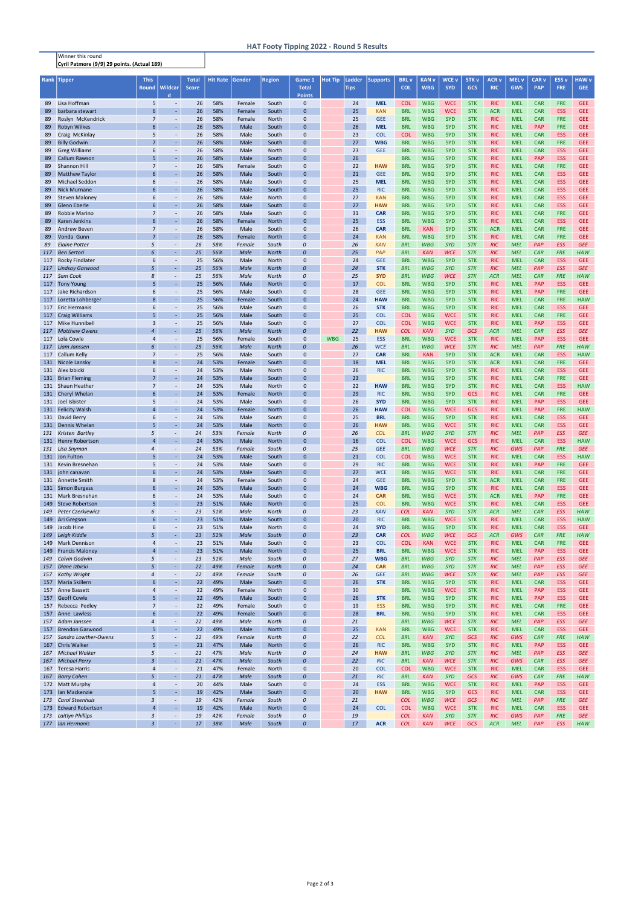Winner this round Cyril Patmore (9/9) 29 points. (Actual 189)

## HAT Footy Tipping 2022 - Round 5 Results

| Rank | <b>Tipper</b>            | <b>This</b>      |                          | <b>Total</b> | Hit Rate Gender |        | <b>Region</b> | Game 1           | <b>Hot Tip</b> | Ladder      | <b>Supports</b> | <b>BRL</b> v | <b>KAN v</b> | <b>WCE v</b> | <b>STK v</b> | <b>ACR v</b> | <b>MEL v</b> | <b>CAR v</b> | <b>ESS v</b> | <b>HAW v</b> |
|------|--------------------------|------------------|--------------------------|--------------|-----------------|--------|---------------|------------------|----------------|-------------|-----------------|--------------|--------------|--------------|--------------|--------------|--------------|--------------|--------------|--------------|
|      |                          | <b>Round</b>     | <b>Wildcar</b>           | <b>Score</b> |                 |        |               | <b>Total</b>     |                | <b>Tips</b> |                 | <b>COL</b>   | <b>WBG</b>   | <b>SYD</b>   | GCS          | <b>RIC</b>   | <b>GWS</b>   | <b>PAP</b>   | <b>FRE</b>   | <b>GEE</b>   |
|      |                          |                  | d.                       |              |                 |        |               | <b>Points</b>    |                |             |                 |              |              |              |              |              |              |              |              |              |
| 89   | Lisa Hoffman             | 5                | $\sim$                   | 26           | 58%             | Female | South         | $\mathbf 0$      |                | 24          | <b>MEL</b>      | <b>COL</b>   | <b>WBG</b>   | <b>WCE</b>   | <b>STK</b>   | <b>RIC</b>   | <b>MEL</b>   | <b>CAR</b>   | <b>FRE</b>   | <b>GEE</b>   |
| 89   | barbara stewart          | 6                | $\omega$                 | 26           | 58%             | Female | South         | $\Omega$         |                | 25          | <b>KAN</b>      | <b>BRL</b>   | <b>WBG</b>   | <b>WCE</b>   | <b>STK</b>   | <b>ACR</b>   | <b>MEL</b>   | <b>CAR</b>   | <b>ESS</b>   | <b>GEE</b>   |
| 89   | Roslyn McKendrick        | $\overline{7}$   | $\overline{\phantom{a}}$ | 26           | 58%             | Female | North         | $\mathbf{0}$     |                | 25          | <b>GEE</b>      | <b>BRL</b>   | <b>WBG</b>   | <b>SYD</b>   | <b>STK</b>   | <b>RIC</b>   | <b>MEL</b>   | <b>CAR</b>   | <b>FRE</b>   | <b>GEE</b>   |
| 89   | Robyn Wilkes             | 6                |                          | 26           | 58%             | Male   | South         | $\Omega$         |                | 26          | <b>MEL</b>      | <b>BRL</b>   | <b>WBG</b>   | <b>SYD</b>   | <b>STK</b>   | <b>RIC</b>   | <b>MEL</b>   | PAP          | <b>FRE</b>   | <b>GEE</b>   |
| 89   | Craig McKinlay           | 5                | $\sim$                   | 26           | 58%             | Male   | South         | $\mathbf 0$      |                | 23          | <b>COL</b>      | <b>COL</b>   | <b>WBG</b>   | <b>SYD</b>   | <b>STK</b>   | <b>RIC</b>   | <b>MEL</b>   | <b>CAR</b>   | <b>ESS</b>   | <b>GEE</b>   |
| 89   | <b>Billy Godwin</b>      | $\overline{7}$   |                          | 26           | 58%             | Male   | South         | $\Omega$         |                | 27          | <b>WBG</b>      | <b>BRL</b>   | <b>WBG</b>   | <b>SYD</b>   | <b>STK</b>   | <b>RIC</b>   | <b>MEL</b>   | <b>CAR</b>   | <b>FRE</b>   | <b>GEE</b>   |
| 89   | <b>Greg Williams</b>     | 6                |                          | 26           | 58%             | Male   | North         | $\mathbf{0}$     |                | 23          | <b>GEE</b>      | <b>BRL</b>   | <b>WBG</b>   | <b>SYD</b>   | <b>STK</b>   | <b>RIC</b>   | <b>MEL</b>   | <b>CAR</b>   | <b>ESS</b>   | <b>GEE</b>   |
| 89   | <b>Callum Rawson</b>     | 5                | ÷.                       | 26           | 58%             | Male   | South         | $\Omega$         |                | 26          |                 | <b>BRL</b>   | <b>WBG</b>   | <b>SYD</b>   | <b>STK</b>   | <b>RIC</b>   | <b>MEL</b>   | PAP          | <b>ESS</b>   | <b>GEE</b>   |
| 89   | <b>Shannon Hill</b>      | $\overline{7}$   | $\overline{\phantom{a}}$ | 26           | 58%             | Female | South         | $\mathbf{0}$     |                | 22          | <b>HAW</b>      | <b>BRL</b>   | <b>WBG</b>   | <b>SYD</b>   | <b>STK</b>   | <b>RIC</b>   | <b>MEL</b>   | <b>CAR</b>   | <b>FRE</b>   | <b>GEE</b>   |
| 89   | <b>Matthew Taylor</b>    | 6                | $\omega$                 | 26           | 58%             | Male   | South         | $\Omega$         |                | 21          | <b>GEE</b>      | <b>BRL</b>   | <b>WBG</b>   | <b>SYD</b>   | <b>STK</b>   | <b>RIC</b>   | <b>MEL</b>   | <b>CAR</b>   | <b>ESS</b>   | <b>GEE</b>   |
| 89   | <b>Michael Seddon</b>    | 6                | $\sim$                   | 26           | 58%             | Male   | South         | 0                |                | 25          | <b>MEL</b>      | <b>BRL</b>   | <b>WBG</b>   | <b>SYD</b>   | <b>STK</b>   | <b>RIC</b>   | <b>MEL</b>   | <b>CAR</b>   | <b>ESS</b>   | <b>GEE</b>   |
| 89   | <b>Nick Murnane</b>      | 6                | $\omega$                 | 26           | 58%             | Male   | South         | $\Omega$         |                | 25          | <b>RIC</b>      | <b>BRL</b>   | <b>WBG</b>   | <b>SYD</b>   | <b>STK</b>   | <b>RIC</b>   | <b>MEL</b>   | <b>CAR</b>   | <b>ESS</b>   | <b>GEE</b>   |
| 89   | <b>Steven Maloney</b>    | 6                | $\omega$                 | 26           | 58%             | Male   | North         | $\Omega$         |                | 27          | <b>KAN</b>      | <b>BRL</b>   | <b>WBG</b>   | <b>SYD</b>   | <b>STK</b>   | <b>RIC</b>   | <b>MEL</b>   | <b>CAR</b>   | <b>ESS</b>   | <b>GEE</b>   |
| 89   | <b>Glenn Eberle</b>      | 6                | $\omega$                 | 26           | 58%             | Male   | South         | $\Omega$         |                | 27          | <b>HAW</b>      | <b>BRL</b>   | <b>WBG</b>   | <b>SYD</b>   | <b>STK</b>   | <b>RIC</b>   | <b>MEL</b>   | <b>CAR</b>   | <b>ESS</b>   | <b>GEE</b>   |
| 89   | <b>Robbie Marino</b>     | $\overline{7}$   | $\blacksquare$           | 26           | 58%             | Male   | South         | $\mathbf{0}$     |                | 31          | <b>CAR</b>      | <b>BRL</b>   | <b>WBG</b>   | <b>SYD</b>   | <b>STK</b>   | <b>RIC</b>   | <b>MEL</b>   | <b>CAR</b>   | <b>FRE</b>   | <b>GEE</b>   |
| 89   | <b>Karen Jenkins</b>     | 6                | $\omega$                 | 26           | 58%             | Female | North         | $\Omega$         |                | 25          | <b>ESS</b>      | <b>BRL</b>   | <b>WBG</b>   | <b>SYD</b>   | <b>STK</b>   | <b>RIC</b>   | <b>MEL</b>   | <b>CAR</b>   | <b>ESS</b>   | <b>GEE</b>   |
| 89   | <b>Andrew Beven</b>      | $\overline{7}$   | $\sim$                   | 26           | 58%             | Male   | South         | $\mathbf 0$      |                | 26          | <b>CAR</b>      | <b>BRL</b>   | <b>KAN</b>   | <b>SYD</b>   | <b>STK</b>   | <b>ACR</b>   | <b>MEL</b>   | <b>CAR</b>   | <b>FRE</b>   | <b>GEE</b>   |
| 89   | Vonda Gunn               | $\overline{7}$   | $\sim$                   | 26           | 58%             | Female | North         | $\Omega$         |                | 24          | <b>KAN</b>      | <b>BRL</b>   | <b>WBG</b>   | <b>SYD</b>   | <b>STK</b>   | <b>RIC</b>   | <b>MEL</b>   | <b>CAR</b>   | <b>FRE</b>   | <b>GEE</b>   |
| 89   | <b>Elaine Potter</b>     | 5                | $\overline{\phantom{a}}$ | 26           | 58%             | Female | South         | 0                |                | 26          | <b>KAN</b>      | <b>BRL</b>   | <b>WBG</b>   | <b>SYD</b>   | <b>STK</b>   | <b>RIC</b>   | <b>MEL</b>   | PAP          | <b>ESS</b>   | <b>GEE</b>   |
| 117  | <b>Ben Sertori</b>       | 6                | $\sim$                   | 25           | 56%             | Male   | <b>North</b>  | $\mathcal{O}$    |                | 25          | PAP             | <b>BRL</b>   | <b>KAN</b>   | <b>WCE</b>   | <b>STK</b>   | <b>RIC</b>   | <b>MEL</b>   | <b>CAR</b>   | <b>FRE</b>   | <b>HAW</b>   |
|      | 117 Rocky Findlater      | 6                | $\sim$                   | 25           | 56%             | Male   | North         | $\mathbf{0}$     |                | 24          | <b>GEE</b>      | <b>BRL</b>   | <b>WBG</b>   | <b>SYD</b>   | <b>STK</b>   | <b>RIC</b>   | <b>MEL</b>   | <b>CAR</b>   | <b>ESS</b>   | <b>GEE</b>   |
| 117  | <b>Lindsay Garwood</b>   | 5                |                          | 25           | 56%             | Male   | <b>North</b>  | $\theta$         |                | 24          | <b>STK</b>      | <b>BRL</b>   | <b>WBG</b>   | <b>SYD</b>   | <b>STK</b>   | <b>RIC</b>   | <b>MEL</b>   | PAP          | <b>ESS</b>   | <b>GEE</b>   |
|      | 117 Sam Cook             | 8                | $\overline{\phantom{a}}$ | 25           | 56%             | Male   | <b>North</b>  | 0                |                | 25          | <b>SYD</b>      | <b>BRL</b>   | <b>WBG</b>   | <b>WCE</b>   | <b>STK</b>   | <b>ACR</b>   | <b>MEL</b>   | <b>CAR</b>   | <b>FRE</b>   | <b>HAW</b>   |
| 117  | <b>Tony Young</b>        |                  |                          | 25           | 56%             | Male   | North         | $\Omega$         |                | 17          | <b>COL</b>      | <b>BRL</b>   | <b>WBG</b>   | <b>SYD</b>   | <b>STK</b>   | <b>RIC</b>   | <b>MEL</b>   | PAP          | <b>ESS</b>   | <b>GEE</b>   |
|      | 117 Jake Richardson      | 6                |                          | 25           | 56%             | Male   | South         | $\mathbf 0$      |                | 28          | <b>GEE</b>      | <b>BRL</b>   | <b>WBG</b>   | <b>SYD</b>   | <b>STK</b>   | <b>RIC</b>   | <b>MEL</b>   | <b>PAP</b>   | <b>FRE</b>   | <b>GEE</b>   |
| 117  | Loretta Lohberger        | 8                | $\sim$                   | 25           | 56%             | Female | South         | $\Omega$         |                | 24          | <b>HAW</b>      | <b>BRL</b>   | <b>WBG</b>   | <b>SYD</b>   | <b>STK</b>   | <b>RIC</b>   | <b>MEL</b>   | <b>CAR</b>   | <b>FRE</b>   | <b>HAW</b>   |
| 117  | <b>Eric Hermanis</b>     | 6                | $\sim$                   | 25           | 56%             | Male   | South         | $\mathbf{0}$     |                | 26          | <b>STK</b>      | <b>BRL</b>   | <b>WBG</b>   | <b>SYD</b>   | <b>STK</b>   | <b>RIC</b>   | <b>MEL</b>   | <b>CAR</b>   | <b>ESS</b>   | <b>GEE</b>   |
|      | 117 Craig Williams       | 5                | $\omega$                 | 25           | 56%             | Male   | South         | $\Omega$         |                | 25          | <b>COL</b>      | <b>COL</b>   | <b>WBG</b>   | <b>WCE</b>   | <b>STK</b>   | <b>RIC</b>   | <b>MEL</b>   | <b>CAR</b>   | <b>FRE</b>   | <b>GEE</b>   |
|      | 117 Mike Hunnibell       | 3                |                          | 25           | 56%             | Male   | South         | $\mathbf{0}$     |                | 27          | <b>COL</b>      | <b>COL</b>   | <b>WBG</b>   | <b>WCE</b>   | <b>STK</b>   | <b>RIC</b>   | <b>MEL</b>   | PAP          | <b>ESS</b>   | <b>GEE</b>   |
|      | 117 Matthew Owens        | 4                |                          | 25           | 56%             | Male   | <b>North</b>  | $\theta$         |                | 22          | <b>HAW</b>      | <b>COL</b>   | <b>KAN</b>   | <b>SYD</b>   | GCS          | <b>ACR</b>   | <b>MEL</b>   | <b>CAR</b>   | <b>ESS</b>   | <b>GEE</b>   |
| 117  | Lola Cowle               | 4                |                          | 25           | 56%             | Female | South         | $\mathbf 0$      | <b>WBG</b>     | 25          | <b>ESS</b>      | <b>BRL</b>   | <b>WBG</b>   | <b>WCE</b>   | <b>STK</b>   | <b>RIC</b>   | <b>MEL</b>   | PAP          | <b>ESS</b>   | <b>GEE</b>   |
|      | 117 Liam Janssen         | 6                |                          | 25           | 56%             | Male   | <b>North</b>  | $\theta$         |                | 26          | <b>WCE</b>      | <b>BRL</b>   | <b>WBG</b>   | <b>WCE</b>   | <b>STK</b>   | <b>RIC</b>   | <b>MEL</b>   | PAP          | <b>FRE</b>   | <b>HAW</b>   |
|      | 117 Callum Kelly         | $\overline{7}$   | $\sim$                   | 25           | 56%             | Male   | South         | $\mathbf 0$      |                | 27          | <b>CAR</b>      | <b>BRL</b>   | <b>KAN</b>   | <b>SYD</b>   | <b>STK</b>   | <b>ACR</b>   | <b>MEL</b>   | <b>CAR</b>   | <b>ESS</b>   | <b>HAW</b>   |
|      | 131 Nicole Lansky        | 8                | $\omega$                 | 24           | 53%             | Female | South         | $\Omega$         |                | 18          | <b>MEL</b>      | <b>BRL</b>   | <b>WBG</b>   | <b>SYD</b>   | <b>STK</b>   | <b>ACR</b>   | <b>MEL</b>   | <b>CAR</b>   | <b>FRE</b>   | <b>GEE</b>   |
|      | 131 Alex Izbicki         | 6                | $\sim$                   | 24           | 53%             | Male   | North         | $\mathbf 0$      |                | 26          | <b>RIC</b>      | <b>BRL</b>   | <b>WBG</b>   | <b>SYD</b>   | <b>STK</b>   | <b>RIC</b>   | <b>MEL</b>   | <b>CAR</b>   | <b>ESS</b>   | <b>GEE</b>   |
|      | 131 Brian Fleming        | $\overline{7}$   | $\omega$                 | 24           | 53%             | Male   | South         | $\Omega$         |                | 23          |                 | <b>BRL</b>   | <b>WBG</b>   | <b>SYD</b>   | <b>STK</b>   | <b>RIC</b>   | <b>MEL</b>   | <b>CAR</b>   | <b>FRE</b>   | <b>GEE</b>   |
|      | 131 Shaun Heather        | $\overline{7}$   | $\overline{\phantom{a}}$ | 24           | 53%             | Male   | North         | $\Omega$         |                | 22          | <b>HAW</b>      | <b>BRL</b>   | <b>WBG</b>   | <b>SYD</b>   | <b>STK</b>   | <b>RIC</b>   | <b>MEL</b>   | <b>CAR</b>   | <b>ESS</b>   | <b>HAW</b>   |
|      | 131 Cheryl Whelan        | 6                | $\omega$                 | 24           | 53%             | Female | <b>North</b>  | $\Omega$         |                | 29          | <b>RIC</b>      | <b>BRL</b>   | <b>WBG</b>   | <b>SYD</b>   | <b>GCS</b>   | <b>RIC</b>   | <b>MEL</b>   | <b>CAR</b>   | <b>FRE</b>   | <b>GEE</b>   |
|      | 131 Joel Isbister        | 5                |                          | 24           | 53%             | Male   | South         | $\Omega$         |                | 26          | <b>SYD</b>      | <b>BRL</b>   | <b>WBG</b>   | <b>SYD</b>   | <b>STK</b>   | <b>RIC</b>   | <b>MEL</b>   | <b>PAP</b>   | <b>ESS</b>   | <b>GEE</b>   |
|      | 131 Felicity Walsh       | $\overline{4}$   |                          | 24           | 53%             | Female | North         | $\Omega$         |                | 26          | <b>HAW</b>      | <b>COL</b>   | <b>WBG</b>   | <b>WCE</b>   | GCS          | <b>RIC</b>   | <b>MEL</b>   | <b>PAP</b>   | <b>FRE</b>   | <b>HAW</b>   |
|      | 131 David Berry          | $\boldsymbol{6}$ |                          | 24           | 53%             | Male   | South         | $\Omega$         |                | 25          | <b>BRL</b>      | <b>BRL</b>   | <b>WBG</b>   | <b>SYD</b>   | <b>STK</b>   | <b>RIC</b>   | <b>MEL</b>   | <b>CAR</b>   | <b>ESS</b>   | <b>GEE</b>   |
| 131  | Dennis Whelan            | 5                | $\sim$                   | 24           | 53%             | Male   | North         | $\Omega$         |                | 26          | <b>HAW</b>      | <b>BRL</b>   | <b>WBG</b>   | <b>WCE</b>   | <b>STK</b>   | <b>RIC</b>   | <b>MEL</b>   | <b>CAR</b>   | <b>ESS</b>   | <b>GEE</b>   |
|      | 131 Kristen Bartley      | 5                | $\overline{\phantom{a}}$ | 24           | 53%             | Female | <b>North</b>  | 0                |                | 26          | <b>COL</b>      | <b>BRL</b>   | <b>WBG</b>   | <b>SYD</b>   | <b>STK</b>   | <b>RIC</b>   | <b>MEL</b>   | PAP          | <b>ESS</b>   | <b>GEE</b>   |
|      | 131 Henry Robertson      | $\overline{4}$   | $\omega$                 | 24           | 53%             | Male   | North         | $\mathbf{0}$     |                | 16          | <b>COL</b>      | <b>COL</b>   | <b>WBG</b>   | <b>WCE</b>   | GCS          | <b>RIC</b>   | <b>MEL</b>   | <b>CAR</b>   | <b>ESS</b>   | <b>HAW</b>   |
|      | 131 Lisa Snyman          | $\overline{4}$   | $\overline{\phantom{a}}$ | 24           | 53%             | Female | South         | 0                |                | 25          | <b>GEE</b>      | <b>BRL</b>   | <b>WBG</b>   | <b>WCE</b>   | <b>STK</b>   | <b>RIC</b>   | GWS          | PAP          | <b>FRE</b>   | <b>GEE</b>   |
|      | 131 Jon Fulton           | 5                | $\omega$                 | 24           | 53%             | Male   | South         | $\Omega$         |                | 21          | <b>COL</b>      | <b>COL</b>   | <b>WBG</b>   | <b>WCE</b>   | <b>STK</b>   | <b>RIC</b>   | <b>MEL</b>   | <b>CAR</b>   | <b>ESS</b>   | <b>HAW</b>   |
|      | 131 Kevin Bresnehan      | 5                | $\omega$                 | 24           | 53%             | Male   | South         | $\mathbf 0$      |                | 29          | <b>RIC</b>      | <b>BRL</b>   | <b>WBG</b>   | <b>WCE</b>   | <b>STK</b>   | <b>RIC</b>   | <b>MEL</b>   | PAP          | <b>FRE</b>   | <b>GEE</b>   |
|      | 131 john canavan         | 6                | $\omega$                 | 24           | 53%             | Male   | South         | $\Omega$         |                | 27          | <b>WCE</b>      | <b>BRL</b>   | <b>WBG</b>   | <b>WCE</b>   | <b>STK</b>   | <b>RIC</b>   | <b>MEL</b>   | <b>CAR</b>   | <b>FRE</b>   | <b>GEE</b>   |
|      | 131 Annette Smith        | 8                | $\blacksquare$           | 24           | 53%             | Female | South         | $\mathbf 0$      |                | 24          | <b>GEE</b>      | <b>BRL</b>   | <b>WBG</b>   | <b>SYD</b>   | <b>STK</b>   | <b>ACR</b>   | <b>MEL</b>   | <b>CAR</b>   | <b>FRE</b>   | <b>GEE</b>   |
|      | 131 Simon Burgess        | 6                | $\omega$                 | 24           | 53%             | Male   | South         | $\Omega$         |                | 24          | <b>WBG</b>      | <b>BRL</b>   | <b>WBG</b>   | <b>SYD</b>   | <b>STK</b>   | <b>RIC</b>   | <b>MEL</b>   | <b>CAR</b>   | <b>ESS</b>   | <b>GEE</b>   |
|      | 131 Mark Bresnehan       | 6                | $\sim$                   | 24           | 53%             | Male   | South         | $\mathbf 0$      |                | 24          | <b>CAR</b>      | <b>BRL</b>   | <b>WBG</b>   | <b>WCE</b>   | <b>STK</b>   | <b>ACR</b>   | <b>MEL</b>   | PAP          | <b>FRE</b>   | <b>GEE</b>   |
| 149  | <b>Steve Robertson</b>   | $\overline{5}$   | $\omega$                 | 23           | 51%             | Male   | North         | $\Omega$         |                | 25          | <b>COL</b>      | <b>BRL</b>   | <b>WBG</b>   | <b>WCE</b>   | <b>STK</b>   | <b>RIC</b>   | <b>MEL</b>   | <b>CAR</b>   | <b>ESS</b>   | <b>GEE</b>   |
| 149  | <b>Peter Czerkiewicz</b> | 6                | $\overline{\phantom{a}}$ | 23           | 51%             | Male   | <b>North</b>  | 0                |                | 23          | <b>KAN</b>      | <b>COL</b>   | <b>KAN</b>   | <b>SYD</b>   | <b>STK</b>   | <b>ACR</b>   | <b>MEL</b>   | <b>CAR</b>   | <b>ESS</b>   | <b>HAW</b>   |
| 149  | Ari Gregson              | 6                | $\omega$                 | 23           | 51%             | Male   | South         | $\mathbf{0}$     |                | 20          | <b>RIC</b>      | <b>BRL</b>   | <b>WBG</b>   | <b>WCE</b>   | <b>STK</b>   | <b>RIC</b>   | <b>MEL</b>   | <b>CAR</b>   | <b>ESS</b>   | <b>HAW</b>   |
| 149  | Jacob Hine               | 6                | $\sim$                   | 23           | 51%             | Male   | North         | $\mathbf{0}$     |                | 24          | <b>SYD</b>      | <b>BRL</b>   | <b>WBG</b>   | <b>SYD</b>   | <b>STK</b>   | <b>RIC</b>   | <b>MEL</b>   | <b>CAR</b>   | <b>ESS</b>   | <b>GEE</b>   |
| 149  | Leigh Kiddle             | 5                | $\sim$                   | 23           | 51%             | Male   | South         | $\boldsymbol{0}$ |                | 23          | <b>CAR</b>      | <b>COL</b>   | <b>WBG</b>   | <b>WCE</b>   | GCS          | <b>ACR</b>   | GWS          | <b>CAR</b>   | <b>FRE</b>   | <b>HAW</b>   |
|      | 149 Mark Dennison        | 4                | $\overline{\phantom{a}}$ | 23           | 51%             | Male   | South         | $\mathbf 0$      |                | 23          | <b>COL</b>      | <b>COL</b>   | <b>KAN</b>   | <b>WCE</b>   | <b>STK</b>   | <b>RIC</b>   | <b>MEL</b>   | <b>CAR</b>   | <b>FRE</b>   | <b>GEE</b>   |
| 149  | <b>Francis Maloney</b>   | $\overline{4}$   | ä,                       | 23           | 51%             | Male   | North         | $\mathbf{0}$     |                | 25          | <b>BRL</b>      | <b>BRL</b>   | <b>WBG</b>   | <b>WCE</b>   | <b>STK</b>   | <b>RIC</b>   | <b>MEL</b>   | PAP          | <b>ESS</b>   | <b>GEE</b>   |
| 149  | <b>Calvin Godwin</b>     | 5                | $\overline{\phantom{a}}$ | 23           | 51%             | Male   | South         | 0                |                | 27          | <b>WBG</b>      | <b>BRL</b>   | <b>WBG</b>   | <b>SYD</b>   | <b>STK</b>   | <b>RIC</b>   | <b>MEL</b>   | PAP          | <b>ESS</b>   | <b>GEE</b>   |
| 157  | Diane Izbicki            | 5                | $\sim$                   | 22           | 49%             | Female | <b>North</b>  | $\boldsymbol{0}$ |                | 24          | <b>CAR</b>      | <b>BRL</b>   | <b>WBG</b>   | <b>SYD</b>   | <b>STK</b>   | <b>RIC</b>   | <b>MEL</b>   | <b>PAP</b>   | <b>ESS</b>   | <b>GEE</b>   |
| 157  | <b>Kathy Wright</b>      | $\overline{4}$   | $\overline{\phantom{a}}$ | 22           | 49%             | Female | South         | 0                |                | 26          | <b>GEE</b>      | <b>BRL</b>   | <b>WBG</b>   | <b>WCE</b>   | <b>STK</b>   | <b>RIC</b>   | <b>MEL</b>   | <b>PAP</b>   | <b>ESS</b>   | <b>GEE</b>   |
|      | 157 Maria Skillern       | 6                | $\omega$                 | 22           | 49%             | Male   | South         | $\Omega$         |                | 26          | <b>STK</b>      | <b>BRL</b>   | <b>WBG</b>   | <b>SYD</b>   | <b>STK</b>   | <b>RIC</b>   | <b>MEL</b>   | <b>CAR</b>   | <b>ESS</b>   | <b>GEE</b>   |
| 157  | <b>Anne Bassett</b>      | 4                | $\sim$                   | 22           | 49%             | Female | North         | $\mathbf 0$      |                | 30          |                 | <b>BRL</b>   | <b>WBG</b>   | <b>WCE</b>   | <b>STK</b>   | <b>RIC</b>   | <b>MEL</b>   | PAP          | <b>ESS</b>   | <b>GEE</b>   |
|      | 157 Geoff Cowle          | 5 <sup>5</sup>   | $\omega$                 | 22           | 49%             | Male   | South         | $\Omega$         |                | 26          | <b>STK</b>      | <b>BRL</b>   | <b>WBG</b>   | <b>SYD</b>   | <b>STK</b>   | <b>RIC</b>   | <b>MEL</b>   | <b>PAP</b>   | <b>ESS</b>   | <b>GEE</b>   |
|      | 157 Rebecca Pedley       | $\overline{7}$   | $\omega$                 | 22           | 49%             | Female | South         | $\mathbf 0$      |                | 19          | <b>ESS</b>      | <b>BRL</b>   | <b>WBG</b>   | <b>SYD</b>   | <b>STK</b>   | <b>RIC</b>   | <b>MEL</b>   | <b>CAR</b>   | <b>FRE</b>   | <b>GEE</b>   |
| 157  | Anne Lawless             | 6                | $\omega$                 | 22           | 49%             | Female | South         | $\mathbf{0}$     |                | 28          | <b>BRL</b>      | <b>BRL</b>   | <b>WBG</b>   | <b>SYD</b>   | <b>STK</b>   | <b>RIC</b>   | <b>MEL</b>   | <b>CAR</b>   | <b>ESS</b>   | <b>GEE</b>   |
| 157  | Adam Janssen             | $\overline{4}$   | $\overline{\phantom{a}}$ | 22           | 49%             | Male   | <b>North</b>  | 0                |                | 21          |                 | <b>BRL</b>   | <b>WBG</b>   | <b>WCE</b>   | <b>STK</b>   | <b>RIC</b>   | <b>MEL</b>   | PAP          | <b>ESS</b>   | <b>GEE</b>   |
| 157  | <b>Brendon Garwood</b>   | 5                | $\omega$                 | 22           | 49%             | Male   | North         | $\mathbf{0}$     |                | 25          | <b>KAN</b>      | <b>BRL</b>   | <b>WBG</b>   | <b>WCE</b>   | <b>STK</b>   | <b>RIC</b>   | <b>MEL</b>   | <b>CAR</b>   | <b>ESS</b>   | <b>GEE</b>   |
|      | 157 Sandra Lowther-Owens | 5                | $\overline{\phantom{a}}$ | 22           | 49%             | Female | <b>North</b>  | 0                |                | 22          | <b>COL</b>      | <b>BRL</b>   | <b>KAN</b>   | <b>SYD</b>   | GCS          | <b>RIC</b>   | GWS          | <b>CAR</b>   | <b>FRE</b>   | <b>HAW</b>   |
| 167  | <b>Chris Walker</b>      | $\overline{5}$   | $\omega$                 | 21           | 47%             | Male   | North         | $\Omega$         |                | 26          | <b>RIC</b>      | <b>BRL</b>   | <b>WBG</b>   | <b>SYD</b>   | <b>STK</b>   | <b>RIC</b>   | <b>MEL</b>   | PAP          | <b>ESS</b>   | <b>GEE</b>   |
|      | 167 Michael Walker       | 5                | $\overline{\phantom{a}}$ | 21           | 47%             | Male   | <b>North</b>  | 0                |                | 24          | <b>HAW</b>      | <b>BRL</b>   | <b>WBG</b>   | <b>SYD</b>   | <b>STK</b>   | <b>RIC</b>   | <b>MEL</b>   | <b>PAP</b>   | <b>ESS</b>   | <b>GEE</b>   |
| 167  | <b>Michael Perry</b>     | $\overline{3}$   | ÷.                       | 21           | 47%             | Male   | South         | $\boldsymbol{0}$ |                | 22          | <b>RIC</b>      | <b>BRL</b>   | <b>KAN</b>   | <b>WCE</b>   | <b>STK</b>   | <b>RIC</b>   | GWS          | <b>CAR</b>   | <b>ESS</b>   | <b>GEE</b>   |
| 167  | <b>Teresa Harris</b>     | 4                | $\overline{\phantom{a}}$ | 21           | 47%             | Female | North         | $\mathbf 0$      |                | 20          | <b>COL</b>      | <b>COL</b>   | <b>WBG</b>   | <b>WCE</b>   | <b>STK</b>   | <b>RIC</b>   | <b>MEL</b>   | <b>CAR</b>   | <b>ESS</b>   | <b>GEE</b>   |
| 167  | <b>Barry Cohen</b>       | 5                | $\omega$                 | 21           | 47%             | Male   | South         | $\boldsymbol{0}$ |                | 21          | <b>RIC</b>      | <b>BRL</b>   | <b>KAN</b>   | <b>SYD</b>   | GCS          | <b>RIC</b>   | GWS          | <b>CAR</b>   | <b>FRE</b>   | <b>HAW</b>   |
|      | 172 Matt Murphy          | $\overline{4}$   | $\overline{\phantom{a}}$ | 20           | 44%             | Male   | South         | $\mathbf 0$      |                | 24          | <b>ESS</b>      | <b>BRL</b>   | <b>WBG</b>   | <b>WCE</b>   | <b>STK</b>   | <b>RIC</b>   | <b>MEL</b>   | <b>PAP</b>   | <b>ESS</b>   | <b>GEE</b>   |
|      | 173 Ian Mackenzie        | 5                | $\omega$                 | 19           | 42%             | Male   | South         | $\Omega$         |                | 20          | <b>HAW</b>      | <b>BRL</b>   | <b>WBG</b>   | <b>SYD</b>   | GCS          | <b>RIC</b>   | <b>MEL</b>   | <b>CAR</b>   | <b>ESS</b>   | <b>GEE</b>   |
| 173  | <b>Carol Steenhuis</b>   | $\overline{3}$   | $\overline{\phantom{a}}$ | 19           | 42%             | Female | South         | 0                |                | 21          |                 | <b>COL</b>   | <b>WBG</b>   | <b>WCE</b>   | GCS          | <b>RIC</b>   | <b>MEL</b>   | PAP          | <b>FRE</b>   | <b>GEE</b>   |
| 173  | <b>Edward Robertson</b>  | $\overline{4}$   | $\omega$                 | 19           | 42%             | Male   | North         | $\mathbf{0}$     |                | 24          | <b>COL</b>      | <b>COL</b>   | <b>WBG</b>   | <b>WCE</b>   | <b>STK</b>   | <b>RIC</b>   | <b>MEL</b>   | <b>CAR</b>   | <b>ESS</b>   | <b>GEE</b>   |
| 173  | caitlyn Phillips         | 3                | $\overline{\phantom{a}}$ | 19           | 42%             | Female | South         | 0                |                | 19          |                 | <b>COL</b>   | <b>KAN</b>   | <b>SYD</b>   | <b>STK</b>   | <b>RIC</b>   | GWS          | PAP          | <b>FRE</b>   | <b>GEE</b>   |
|      | 177 Ian Hermanis         | $\overline{3}$   | $\omega$                 | 17           | 38%             | Male   | South         | 0                |                | 17          | <b>ACR</b>      | <b>COL</b>   | <b>KAN</b>   | <b>WCE</b>   | GCS          | <b>ACR</b>   | <b>MEL</b>   | PAP          | <b>ESS</b>   | <b>HAW</b>   |